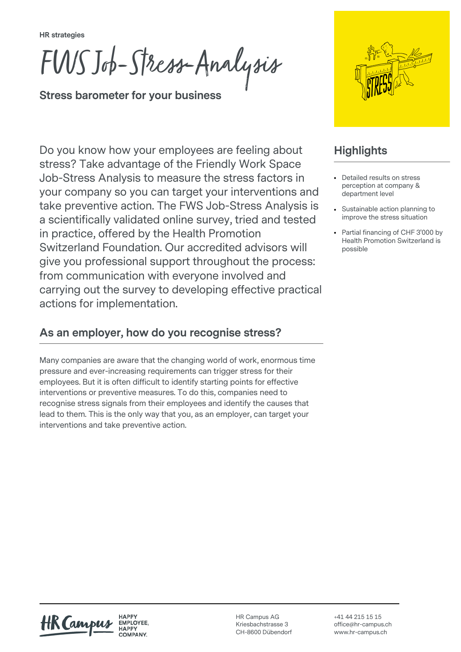**HR strategies**

FWS Job-Stress-Analysis

**Stress barometer for your business**

Do you know how your employees are feeling about stress? Take advantage of the Friendly Work Space Job-Stress Analysis to measure the stress factors in your company so you can target your interventions and take preventive action. The FWS Job-Stress Analysis is a scientifically validated online survey, tried and tested in practice, offered by the Health Promotion Switzerland Foundation. Our accredited advisors will give you professional support throughout the process: from communication with everyone involved and carrying out the survey to developing effective practical actions for implementation.

### **As an employer, how do you recognise stress?**

Many companies are aware that the changing world of work, enormous time pressure and ever-increasing requirements can trigger stress for their employees. But it is often difficult to identify starting points for effective interventions or preventive measures. To do this, companies need to recognise stress signals from their employees and identify the causes that lead to them. This is the only way that you, as an employer, can target your interventions and take preventive action.



## **Highlights**

- Detailed results on stress perception at company & department level
- Sustainable action planning to improve the stress situation
- Partial financing of CHF 3'000 by Health Promotion Switzerland is possible

**HAPPY** EMPLOYEE.

HR Campus AG Kriesbachstrasse 3 CH-8600 Dübendorf +41 44 215 15 15 office@hr-campus.ch www.hr-campus.ch